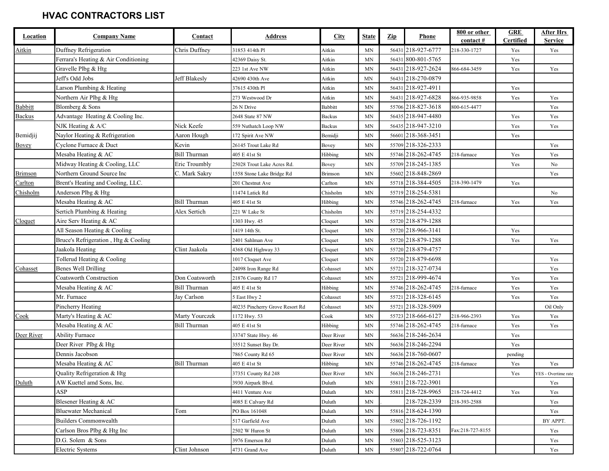| Location       | <b>Company Name</b>                  | Contact              | <u>Address</u>                  | <b>City</b>    | <b>State</b>             | $\mathbf{Zip}$ | Phone              | 800 or other                      | <b>GRE</b>       | <b>After Hrs</b>    |
|----------------|--------------------------------------|----------------------|---------------------------------|----------------|--------------------------|----------------|--------------------|-----------------------------------|------------------|---------------------|
|                |                                      |                      |                                 |                |                          |                |                    | $\frac{\text{contact}}{\text{#}}$ | <b>Certified</b> | <b>Service</b>      |
| Aitkin         | Duffney Refrigeration                | Chris Duffney        | 31853 414th Pl                  | Aitkin         | MN                       |                | 56431 218-927-6777 | 218-330-1727                      | Yes              | Yes                 |
|                | Ferrara's Heating & Air Conditioning |                      | 42369 Daisy St.                 | Aitkin         | MN                       |                | 56431 800-801-5765 |                                   | Yes              |                     |
|                | Gravelle Plbg & Htg                  |                      | 223 1st Ave NW                  | Aitkin         | MN                       |                | 56431 218-927-2624 | 866-684-3459                      | Yes              | Yes                 |
|                | Jeff's Odd Jobs                      | <b>Jeff Blakesly</b> | 42690 430th Ave                 | Aitkin         | <b>MN</b>                |                | 56431 218-270-0879 |                                   |                  |                     |
|                | Larson Plumbing & Heating            |                      | 37615 430th Pl                  | Aitkin         | MN                       |                | 56431 218-927-4911 |                                   | Yes              |                     |
|                | Northern Air Plbg & Htg              |                      | 273 Westwood Dr                 | Aitkin         | <b>MN</b>                |                | 56431 218-927-6828 | 866-935-9858                      | Yes              | Yes                 |
| Babbitt        | Blomberg & Sons                      |                      | 26 N Drive                      | <b>Babbitt</b> | MN                       |                | 55706 218-827-3618 | 800-615-4477                      |                  | Yes                 |
| <b>Backus</b>  | Advantage Heating & Cooling Inc.     |                      | 2648 State 87 NW                | <b>Backus</b>  | MN                       |                | 56435 218-947-4480 |                                   | Yes              | Yes                 |
|                | NJK Heating & A/C                    | Nick Keefe           | 559 Nuthatch Loop NW            | <b>Backus</b>  | MN                       |                | 56435 218-947-3210 |                                   | Yes              | Yes                 |
| Bemidjij       | Naylor Heating & Refrigeration       | Aaron Hough          | 172 Spirit Ave NW               | Bemidji        | MN                       |                | 56601 218-368-3451 |                                   | Yes              |                     |
| Bovey          | Cyclone Furnace & Duct               | Kevin                | 26145 Trout Lake Rd             | Bovey          | MN                       |                | 55709 218-326-2333 |                                   |                  | Yes                 |
|                | Mesaba Heating & AC                  | <b>Bill Thurman</b>  | 405 E 41st St                   | Hibbing        | MN                       |                | 55746 218-262-4745 | 218-furnace                       | Yes              | Yes                 |
|                | Midway Heating & Cooling, LLC        | Eric Troumbly        | 25028 Trout Lake Acres Rd.      | Bovey          | MN                       |                | 55709 218-245-1385 |                                   | Yes              | No                  |
| <b>Brimson</b> | Northern Ground Source Inc           | C. Mark Sakry        | 1558 Stone Lake Bridge Rd       | Brimson        | MN                       |                | 55602 218-848-2869 |                                   |                  | Yes                 |
| Carlton        | Brent's Heating and Cooling, LLC.    |                      | 201 Chestnut Ave                | Carlton        | MN                       |                | 55718 218-384-4505 | 218-390-1479                      | Yes              |                     |
| Chisholm       | Anderson Plbg & Htg                  |                      | 11474 Latick Rd                 | Chisholm       | MN                       |                | 55719 218-254-5381 |                                   |                  | No                  |
|                | Mesaba Heating & AC                  | <b>Bill Thurman</b>  | 405 E 41st St                   | Hibbing        | MN                       |                | 55746 218-262-4745 | 218-furnace                       | Yes              | Yes                 |
|                | Sertich Plumbing & Heating           | Alex Sertich         | 221 W Lake St                   | Chisholm       | <b>MN</b>                |                | 55719 218-254-4332 |                                   |                  |                     |
| Cloquet        | Aire Serv Heating & AC               |                      | 1303 Hwy. 45                    | Cloquet        | <b>MN</b>                |                | 55720 218-879-1288 |                                   |                  |                     |
|                | All Season Heating & Cooling         |                      | 1419 14th St.                   | Cloquet        | MN                       |                | 55720 218-966-3141 |                                   | Yes              |                     |
|                | Bruce's Refrigeration, Htg & Cooling |                      | 2401 Sahlman Ave                | Cloquet        | MN                       |                | 55720 218-879-1288 |                                   | Yes              | Yes                 |
|                | Jaakola Heating                      | Clint Jaakola        | 4368 Old Highway 33             | Cloquet        | MN                       |                | 55720 218-879-4757 |                                   |                  |                     |
|                | Tollerud Heating & Cooling           |                      | 1017 Cloquet Ave                | Cloquet        | MN                       |                | 55720 218-879-6698 |                                   |                  | Yes                 |
| Cohasset       | Benes Well Drilling                  |                      | 24098 Iron Range Rd             | Cohasset       | MN                       |                | 55721 218-327-0734 |                                   |                  | Yes                 |
|                | <b>Coatsworth Construction</b>       | Don Coatsworth       | 21876 County Rd 17              | Cohasset       | MN                       |                | 55721 218-999-4674 |                                   | Yes              | Yes                 |
|                | Mesaba Heating & AC                  | Bill Thurman         | 405 E 41st St                   | Hibbing        | MN                       |                | 55746 218-262-4745 | 218-furnace                       | Yes              | Yes                 |
|                | Mr. Furnace                          | Jay Carlson          | 5 East Hwy 2                    | Cohasset       | MN                       |                | 55721 218-328-6145 |                                   | Yes              | Yes                 |
|                | Pincherry Heating                    |                      | 40235 Pincherry Grove Resort Rd | Cohasset       | MN                       |                | 55721 218-328-5909 |                                   |                  | Oil Only            |
| Cook           | Marty's Heating & AC                 | Marty Yourczek       | 1172 Hwy. 53                    | Cook           | MN                       |                | 55723 218-666-6127 | 218-966-2393                      | Yes              | Yes                 |
|                | Mesaba Heating & AC                  | <b>Bill Thurman</b>  | 405 E 41st St                   | Hibbing        | MN                       |                | 55746 218-262-4745 | 218-furnace                       | Yes              | Yes                 |
| Deer River     | <b>Ability Furnace</b>               |                      | 33747 State Hwy. 46             | Deer River     | MN                       |                | 56636 218-246-2634 |                                   | Yes              |                     |
|                | Deer River Plbg & Htg                |                      | 35512 Sunset Bay Dr.            | Deer River     | MN                       |                | 56636 218-246-2294 |                                   | Yes              |                     |
|                | Dennis Jacobson                      |                      | 7865 County Rd 65               | Deer River     | MN                       |                | 56636 218-760-0607 |                                   | pending          |                     |
|                | Mesaba Heating & AC                  | <b>Bill Thurman</b>  | 405 E 41st St                   | Hibbing        | MN                       |                | 55746 218-262-4745 | 218-furnace                       | Yes              | Yes                 |
|                | Quality Refrigeration & Htg          |                      | 37351 County Rd 248             | Deer River     | $\ensuremath{\text{MN}}$ |                | 56636 218-246-2731 |                                   | Yes              | YES - Overtime rate |
| Duluth         | AW Kuettel amd Sons, Inc.            |                      | 3930 Airpark Blvd.              | Duluth         | MN                       |                | 55811 218-722-3901 |                                   |                  | Yes                 |
|                | ASP                                  |                      | 4411 Venture Ave                | Duluth         | MN                       |                | 55811 218-728-9965 | 218-724-4412                      | Yes              | Yes                 |
|                | Blesener Heating & AC                |                      | 4085 E Calvary Rd               | Duluth         | MN                       |                | 218-728-2339       | 218-393-2588                      |                  | Yes                 |
|                | <b>Bluewater Mechanical</b>          | Tom                  | PO Box 161048                   | Duluth         | MN                       |                | 55816 218-624-1390 |                                   |                  | Yes                 |
|                | <b>Builders Commonwealth</b>         |                      | 517 Garfield Ave                | Duluth         | MN                       |                | 55802 218-726-1192 |                                   |                  | BY APPT.            |
|                | Carlson Bros Plbg & Htg Inc          |                      | 2502 W Huron St                 | Duluth         | MN                       |                | 55806 218-723-8351 | Fax:218-727-8155                  |                  | Yes                 |
|                | D.G. Solem & Sons                    |                      | 3976 Emerson Rd                 | Duluth         | MN                       |                | 55803 218-525-3123 |                                   |                  | Yes                 |
|                | Electric Systems                     | Clint Johnson        | 4731 Grand Ave                  | Duluth         | MN                       |                | 55807 218-722-0764 |                                   |                  | Yes                 |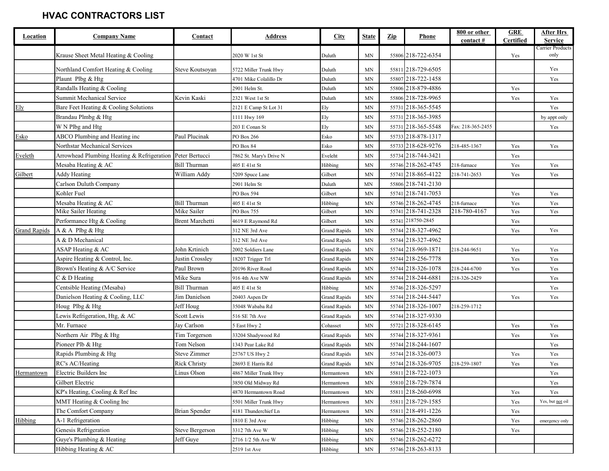| Location            | <b>Company Name</b>                                       | Contact             | Address                 | <b>City</b>         | <b>State</b>        | $\mathbf{Zip}$ | Phone              | 800 or other<br>contact# | <b>GRE</b><br>Certified | After Hrs<br><b>Service</b> |
|---------------------|-----------------------------------------------------------|---------------------|-------------------------|---------------------|---------------------|----------------|--------------------|--------------------------|-------------------------|-----------------------------|
|                     |                                                           |                     |                         |                     |                     |                |                    |                          |                         | Carrier Products            |
|                     | Krause Sheet Metal Heating & Cooling                      |                     | 2020 W 1st St           | Duluth              | MN                  |                | 55806 218-722-6354 |                          | Yes                     | only                        |
|                     | Northland Comfort Heating & Cooling                       | Steve Koutsoyan     | 5722 Miller Trunk Hwy   | Duluth              | MN                  |                | 55811 218-729-6505 |                          |                         | Yes                         |
|                     | Plaunt Plbg & Htg                                         |                     | 4701 Mike Colalillo Dr  | Duluth              | MN                  |                | 55807 218-722-1458 |                          |                         | Yes                         |
|                     | Randalls Heating & Cooling                                |                     | 2901 Helm St.           | Duluth              | MN                  |                | 55806 218-879-4886 |                          | Yes                     |                             |
|                     | <b>Summit Mechanical Service</b>                          | Kevin Kaski         | 2321 West 1st St        | Duluth              | MN                  |                | 55806 218-728-9965 |                          | Yes                     | Yes                         |
| Ely                 | Bare Feet Heating & Cooling Solutions                     |                     | 2121 E Camp St Lot 31   | Ely                 | <b>MN</b>           |                | 55731 218-365-5545 |                          |                         | Yes                         |
|                     | Brandau Plmbg & Htg                                       |                     | 1111 Hwy 169            | Ely                 | <b>MN</b>           |                | 55731 218-365-3985 |                          |                         | by appt only                |
|                     | W N Plbg and Htg                                          |                     | 203 E Conan St          | Ely                 | <b>MN</b>           |                | 55731 218-365-5548 | Fax: 218-365-2455        |                         | Yes                         |
| Esko                | ABCO Plumbing and Heating inc                             | Paul Plucinak       | PO Box 266              | Esko                | <b>MN</b>           |                | 55733 218-878-1317 |                          |                         |                             |
|                     | Northstar Mechanical Services                             |                     | PO Box 84               | Esko                | MN                  |                | 55733 218-628-9276 | 218-485-1367             | Yes                     | Yes                         |
| Eveleth             | Arrowhead Plumbing Heating & Refrigeration Peter Bertucci |                     | 7862 St. Mary's Drive N | Eveleht             | MN                  |                | 55734 218-744-3421 |                          | Yes                     |                             |
|                     | Mesaba Heating & AC                                       | <b>Bill Thurman</b> | 405 E 41st St           | Hibbing             | <b>MN</b>           |                | 55746 218-262-4745 | 218-furnace              | Yes                     | Yes                         |
| Gilbert             | <b>Addy Heating</b>                                       | William Addy        | 5209 Spuce Lane         | Gilbert             | <b>MN</b>           |                | 55741 218-865-4122 | 218-741-2653             | Yes                     | Yes                         |
|                     | Carlson Duluth Company                                    |                     | 2901 Helm St            | Duluth              | MN                  |                | 55806 218-741-2130 |                          |                         |                             |
|                     | Kohler Fuel                                               |                     | PO Box 594              | Gilbert             | <b>MN</b>           |                | 55741 218-741-7053 |                          | Yes                     | Yes                         |
|                     | Mesaba Heating & AC                                       | <b>Bill Thurman</b> | 405 E 41st St           | Hibbing             | <b>MN</b>           |                | 55746 218-262-4745 | 218-furnace              | Yes                     | Yes                         |
|                     | Mike Sailer Heating                                       | Mike Sailer         | PO Box 755              | Gilbert             | <b>MN</b>           |                | 55741 218-741-2328 | 218-780-4167             | Yes                     | Yes                         |
|                     | Performance Htg & Cooling                                 | Brent Marchetti     | 4619 E Raymond Rd       | Gilbert             | <b>MN</b>           |                | 55741 218750-2845  |                          | Yes                     |                             |
| <b>Grand Rapids</b> | A & A Plbg & Htg                                          |                     | 312 NE 3rd Ave          | <b>Grand Rapids</b> | <b>MN</b>           |                | 55744 218-327-4962 |                          | Yes                     | Yes                         |
|                     | A & D Mechanical                                          |                     | 312 NE 3rd Ave          | <b>Grand Rapids</b> | MN                  |                | 55744 218-327-4962 |                          |                         |                             |
|                     | ASAP Heating & AC                                         | John Krtinich       | 2002 Soldiers Lane      | <b>Grand Rapids</b> | MN                  |                | 55744 218-969-1871 | 218-244-9651             | Yes                     | Yes                         |
|                     | Aspire Heating & Control, Inc.                            | Justin Crossley     | 18207 Trigger Trl       | <b>Grand Rapids</b> | MN                  |                | 55744 218-256-7778 |                          | Yes                     | Yes                         |
|                     | Brown's Heating & A/C Service                             | Paul Brown          | 20196 River Road        | <b>Grand Rapids</b> | MN                  |                | 55744 218-326-1078 | 218-244-6700             | Yes                     | Yes                         |
|                     | C & D Heating                                             | Mike Sura           | 916 4th Ave NW          | <b>Grand Rapids</b> | MN                  |                | 55744 218-244-6881 | 218-326-2429             |                         | Yes                         |
|                     | Centsible Heating (Mesaba)                                | <b>Bill Thurman</b> | 405 E 41st St           | Hibbing             | <b>MN</b>           |                | 55746 218-326-5297 |                          |                         | Yes                         |
|                     | Danielson Heating & Cooling, LLC                          | Jim Danielson       | 20403 Aspen Dr          | <b>Grand Rapids</b> | <b>MN</b>           |                | 55744 218-244-5447 |                          | Yes                     | Yes                         |
|                     | Houg Plbg & Htg                                           | Jeff Houg           | 35048 Wababa Rd         | <b>Grand Rapids</b> | <b>MN</b>           |                | 55744 218-326-1007 | 218-259-1712             |                         |                             |
|                     | Lewis Refrigeration, Htg, & AC                            | Scott Lewis         | 516 SE 7th Ave          | <b>Grand Rapids</b> | MN                  |                | 55744 218-327-9330 |                          |                         |                             |
|                     | Mr. Furnace                                               | Jay Carlson         | 5 East Hwy 2            | Cohasset            | MN                  |                | 55721 218-328-6145 |                          | Yes                     | Yes                         |
|                     | Northern Air Plbg & Htg                                   | Tim Torgerson       | 33204 Shadywood Rd      | <b>Grand Rapids</b> | MN                  |                | 55744 218-327-9361 |                          | Yes                     | Yes                         |
|                     | Pioneer Plb & Htg                                         | Tom Nelson          | 1343 Pear Lake Rd       | Grand Rapids        | MN                  |                | 55744 218-244-1607 |                          |                         | Yes                         |
|                     | Rapids Plumbing & Htg                                     | <b>Steve Zimmer</b> | 25767 US Hwy 2          | <b>Grand Rapids</b> | MN                  |                | 55744 218-326-0073 |                          | Yes                     | Yes                         |
|                     | RC's AC/Heating                                           | <b>Rick Christy</b> | 28693 E Harris Rd       | <b>Grand Rapids</b> | MN                  |                | 55744 218-326-9705 | 218-259-1807             | Yes                     | Yes                         |
| Hermantown          | Electric Builders Inc                                     | Linus Olson         | 4867 Miller Trunk Hwy   | Hermantown          | $\operatorname{MN}$ |                | 55811 218-722-1073 |                          |                         | Yes                         |
|                     | Gilbert Electric                                          |                     | 3850 Old Midway Rd      | Hermantown          | <b>MN</b>           |                | 55810 218-729-7874 |                          |                         | Yes                         |
|                     | KP's Heating, Cooling & Ref Inc                           |                     | 4870 Hermantown Road    | Hermantown          | MN                  |                | 55811 218-260-6998 |                          | Yes                     | Yes                         |
|                     | MMT Heating & Cooling Inc                                 |                     | 5501 Miller Trunk Hwy   | Hermantown          | MN                  |                | 55811 218-729-1585 |                          | Yes                     | Yes, but not oil            |
|                     | The Comfort Company                                       | Brian Spender       | 4181 Thunderchief Ln    | Hermantown          | MN                  |                | 55811 218-491-1226 |                          | Yes                     |                             |
| Hibbing             | A-1 Refrigeration                                         |                     | 1810 E 3rd Ave          | Hibbing             | MN                  |                | 55746 218-262-2860 |                          | Yes                     | emergency only              |
|                     | Genesis Refrigeration                                     | Steve Bergerson     | 3312 7th Ave W          | Hibbing             | <b>MN</b>           |                | 55746 218-252-2180 |                          | Yes                     |                             |
|                     | Guye's Plumbing & Heating                                 | Jeff Guye           | 2716 1/2 5th Ave W      | Hibbing             | MN                  |                | 55746 218-262-6272 |                          |                         |                             |
|                     | Hibbing Heating & AC                                      |                     | 2519 1st Ave            | Hibbing             | MN                  |                | 55746 218-263-8133 |                          |                         |                             |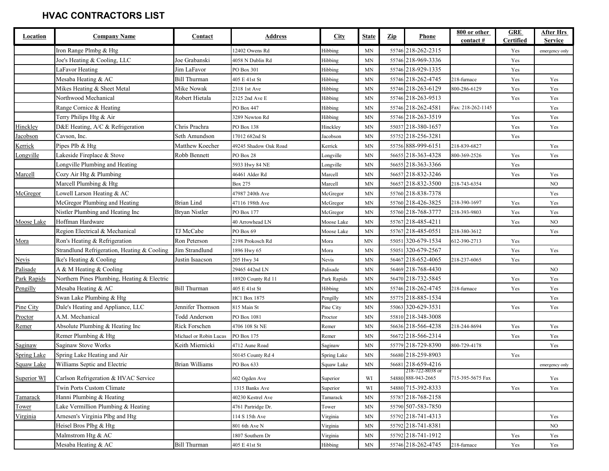| Location           | <b>Company Name</b>                         | Contact                | <b>Address</b>        | <b>City</b> | <b>State</b>             | $\mathbf{Zip}$ | Phone                                 | 800 or other      | <b>GRE</b>       | After Hrs      |
|--------------------|---------------------------------------------|------------------------|-----------------------|-------------|--------------------------|----------------|---------------------------------------|-------------------|------------------|----------------|
|                    |                                             |                        |                       |             |                          |                |                                       | contact #         | <b>Certified</b> | <b>Service</b> |
|                    | Iron Range Plmbg & Htg                      |                        | 12402 Owens Rd        | Hibbing     | <b>MN</b>                |                | 55746 218-262-2315                    |                   | Yes              | emergency only |
|                    | Joe's Heating & Cooling, LLC                | Joe Grabanski          | 4058 N Dublin Rd      | Hibbing     | <b>MN</b>                |                | 55746 218-969-3336                    |                   | Yes              |                |
|                    | LaFavor Heating                             | Jim LaFavor            | PO Box 301            | Hibbing     | MN                       |                | 55746 218-929-1335                    |                   | Yes              |                |
|                    | Mesaba Heating & AC                         | <b>Bill Thurman</b>    | 405 E 41st St         | Hibbing     | MN                       |                | 55746 218-262-4745                    | 218-furnace       | Yes              | Yes            |
|                    | Mikes Heating & Sheet Metal                 | Mike Nowak             | 2318 1st Ave          | Hibbing     | MN                       |                | 55746 218-263-6129                    | 800-286-6129      | Yes              | Yes            |
|                    | Northwood Mechanical                        | Robert Hietala         | 2125 2nd Ave E        | Hibbing     | <b>MN</b>                |                | 55746 218-263-9513                    |                   | Yes              | Yes            |
|                    | Range Cornice & Heating                     |                        | PO Box 447            | Hibbing     | <b>MN</b>                |                | 55746 218-262-4581                    | Fax: 218-262-1145 |                  | Yes            |
|                    | Terry Philips Htg & Air                     |                        | 3289 Newton Rd        | Hibbing     | MN                       |                | 55746 218-263-3519                    |                   | Yes              | Yes            |
| Hinckley           | D&E Heating, A/C & Refrigeration            | Chris Prachra          | PO Box 138            | Hinckley    | <b>MN</b>                |                | 55037 218-380-1657                    |                   | Yes              | Yes            |
| Jacobson           | Cavson, Inc.                                | Seth Amundson          | 17012 682nd St        | Jacobson    | <b>MN</b>                |                | 55752 218-256-3281                    |                   | Yes              |                |
| Kerrick            | Pipes Plb & Htg                             | Matthew Koecher        | 49245 Shadow Oak Road | Kerrick     | <b>MN</b>                |                | 55756 888-999-6151                    | 218-839-6827      |                  | Yes            |
| Longville          | Lakeside Fireplace & Stove                  | Robb Bennett           | PO Box 28             | Longville   | <b>MN</b>                |                | 56655 218-363-4328                    | 800-369-2526      | Yes              | Yes            |
|                    | Longville Plumbing and Heating              |                        | 5933 Hwy 84 NE        | Longville   | MN                       |                | 56655 218-363-3366                    |                   | Yes              |                |
| Marcell            | Cozy Air Htg & Plumbing                     |                        | 46461 Alder Rd        | Marcell     | <b>MN</b>                |                | 56657 218-832-3246                    |                   | Yes              | Yes            |
|                    | Marcell Plumbing & Htg                      |                        | <b>Box 275</b>        | Marcell     | <b>MN</b>                |                | 56657 218-832-3500                    | 218-743-6354      |                  | NO             |
| McGregor           | Lowell Larson Heating & AC                  |                        | 47987 240th Ave       | McGregor    | <b>MN</b>                |                | 55760 218-838-7378                    |                   |                  | Yes            |
|                    | McGregor Plumbing and Heating               | <b>Brian Lind</b>      | 47116 198th Ave       | McGregor    | MN                       |                | 55760 218-426-3825                    | 218-390-1697      | Yes              | Yes            |
|                    | Nistler Plumbing and Heating Inc            | Bryan Nistler          | PO Box 177            | McGregor    | <b>MN</b>                |                | 55760 218-768-3777                    | 218-393-9803      | Yes              | Yes            |
| Moose Lake         | Hoffman Hardware                            |                        | 40 Arrowhead LN       | Moose Lake  | <b>MN</b>                |                | 55767 218-485-4211                    |                   | Yes              | NO             |
|                    | Region Electrical & Mechanical              | TJ McCabe              | PO Box 69             | Moose Lake  | MN                       |                | 55767 218-485-0551                    | 218-380-3612      |                  | Yes            |
| Mora               | Ron's Heating & Refrigeration               | Ron Peterson           | 2198 Prokosch Rd      | Mora        | MN                       |                | 55051 320-679-1534                    | 612-390-2713      | Yes              |                |
|                    | Strandlund Refrigeration, Heating & Cooling | Jim Strandlund         | 1896 Hwy 65           | Mora        | <b>MN</b>                |                | 55051 320-679-2567                    |                   | Yes              | Yes            |
| Nevis              | Ike's Heating & Cooling                     | Justin Isaacson        | 205 Hwy 34            | Nevis       | <b>MN</b>                |                | 56467 218-652-4065                    | 218-237-6065      | Yes              |                |
| Palisade           | A & M Heating & Cooling                     |                        | 29465 442nd LN        | Palisade    | <b>MN</b>                |                | 56469 218-768-4430                    |                   |                  | NO             |
| Park Rapids        | Northern Pines Plumbing, Heating & Electric |                        | 18920 County Rd 11    | Park Rapids | MN                       |                | 56470 218-732-5845                    |                   | Yes              | Yes            |
| Pengilly           | Mesaba Heating & AC                         | <b>Bill Thurman</b>    | 405 E 41st St         | Hibbing     | MN                       |                | 55746 218-262-4745                    | 218-furnace       | Yes              | Yes            |
|                    | Swan Lake Plumbing & Htg                    |                        | HC1 Box 1875          | Pengilly    | <b>MN</b>                |                | 55775 218-885-1534                    |                   |                  | Yes            |
| Pine City          | Dale's Heating and Appliance, LLC           | Jennifer Thomson       | 815 Main St           | Pine City   | <b>MN</b>                |                | 55063 320-629-3531                    |                   | Yes              | Yes            |
| Proctor            | A.M. Mechanical                             | <b>Todd Anderson</b>   | PO Box 1081           | Proctor     | MN                       |                | 55810 218-348-3008                    |                   |                  |                |
| Remer              | Absolute Plumbing & Heating Inc             | Rick Forschen          | 4706 108 St NE        | Remer       | <b>MN</b>                |                | 56636 218-566-4238                    | 218-244-8694      | Yes              | Yes            |
|                    | Remer Plumbing & Htg                        | Michael or Robin Lucas | PO Box 175            | Remer       | <b>MN</b>                |                | 56672 218-566-2314                    |                   | Yes              | Yes            |
| Saginaw            | Saginaw Stove Works                         | Keith Miernicki        | 4712 Aune Road        | Saginaw     | <b>MN</b>                |                | 55779 218-729-8390                    | 800-729-4178      |                  | Yes            |
| <b>Spring Lake</b> | Spring Lake Heating and Air                 |                        | 50145 County Rd 4     | Spring Lake | MN                       |                | 56680 218-259-8903                    |                   | Yes              |                |
| Squaw Lake         | Williams Septic and Electric                | <b>Brian Williams</b>  | PO Box 633            | Squaw Lake  | $\ensuremath{\text{MN}}$ |                | 56681 218-659-4216                    |                   |                  | emergency only |
| Superior WI        | Carlson Refrigeration & HVAC Service        |                        | 602 Ogden Ave         | Superior    | WI                       |                | 218-722-8038 or<br>54880 888-943-2665 | 715-395-5675 Fax  |                  | Yes            |
|                    | Twin Ports Custom Climate                   |                        | 1315 Banks Ave        | Superior    | WI                       |                | 54880 715-392-8333                    |                   | Yes              | Yes            |
| Tamarack           | Hanni Plumbing & Heating                    |                        | 40230 Kestrel Ave     | Tamarack    | MN                       |                | 55787 218-768-2158                    |                   |                  |                |
| <b>Tower</b>       | Lake Vermillion Plumbing & Heating          |                        | 4761 Partridge Dr.    | Tower       | MN                       |                | 55790 507-583-7850                    |                   |                  |                |
| Virginia           | Arnesen's Virginia Plbg and Htg             |                        | 114 S 15th Ave        | Virginia    | MN                       |                | 55792 218-741-4313                    |                   |                  | Yes            |
|                    | Heisel Bros Plbg & Htg                      |                        | 801 6th Ave N         | Virginia    | MN                       |                | 55792 218-741-8381                    |                   |                  | NO             |
|                    | Malmstrom Htg & AC                          |                        | 1807 Southern Dr      | Virginia    | MN                       |                | 55792 218-741-1912                    |                   | Yes              | Yes            |
|                    | Mesaba Heating & AC                         | <b>Bill Thurman</b>    | 405 E 41st St         | Hibbing     | MN                       |                | 55746 218-262-4745                    | 218-furnace       | Yes              | Yes            |